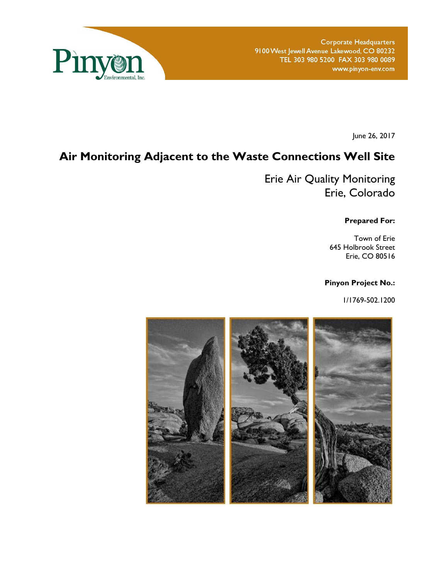

**Corporate Headquarters** 9100 West Jewell Avenue Lakewood, CO 80232 TEL 303 980 5200 FAX 303 980 0089 www.pinyon-env.com

June 26, 2017

# **Air Monitoring Adjacent to the Waste Connections Well Site**

Erie Air Quality Monitoring Erie, Colorado

**Prepared For:** 

Town of Erie 645 Holbrook Street Erie, CO 80516

#### **Pinyon Project No.:**

1/1769-502.1200

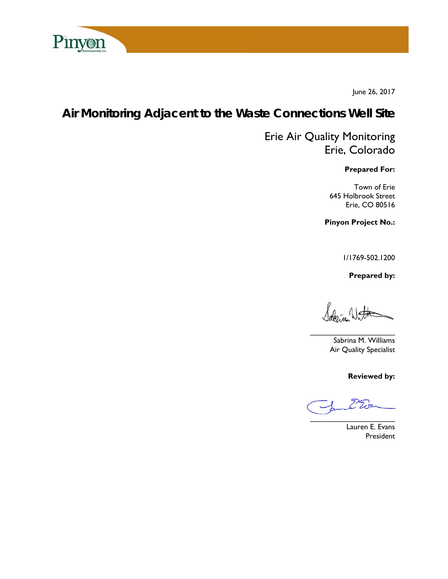

June 26, 2017

# **Air Monitoring Adjacent to the Waste Connections Well Site**

# Erie Air Quality Monitoring Erie, Colorado

**Prepared For:** 

Town of Erie 645 Holbrook Street Erie, CO 80516

**Pinyon Project No.:** 

1/1769-502.1200

 **Prepared by:** 

Jako Je Wat

Sabrina M. Williams Air Quality Specialist

**Reviewed by:** 

 $\overline{\phantom{a}}$ 

Lauren E. Evans President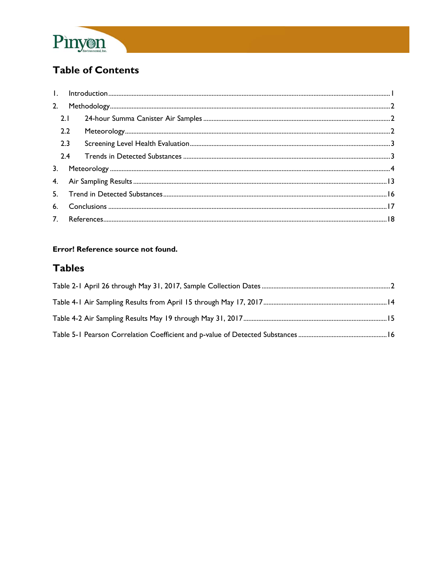

# **Table of Contents**

|  | 2.1 |  |  |
|--|-----|--|--|
|  | 2.2 |  |  |
|  | 2.3 |  |  |
|  | 2.4 |  |  |
|  |     |  |  |
|  |     |  |  |
|  |     |  |  |
|  |     |  |  |
|  |     |  |  |

#### Error! Reference source not found.

# **Tables**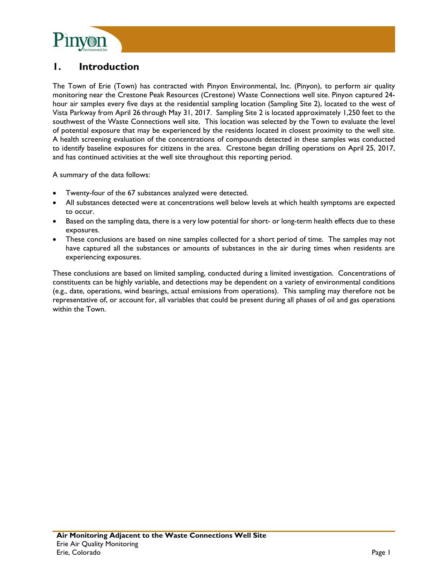

## **1. Introduction**

The Town of Erie (Town) has contracted with Pinyon Environmental, Inc. (Pinyon), to perform air quality monitoring near the Crestone Peak Resources (Crestone) Waste Connections well site. Pinyon captured 24 hour air samples every five days at the residential sampling location (Sampling Site 2), located to the west of Vista Parkway from April 26 through May 31, 2017. Sampling Site 2 is located approximately 1,250 feet to the southwest of the Waste Connections well site. This location was selected by the Town to evaluate the level of potential exposure that may be experienced by the residents located in closest proximity to the well site. A health screening evaluation of the concentrations of compounds detected in these samples was conducted to identify baseline exposures for citizens in the area. Crestone began drilling operations on April 25, 2017, and has continued activities at the well site throughout this reporting period.

A summary of the data follows:

- Twenty-four of the 67 substances analyzed were detected.
- All substances detected were at concentrations well below levels at which health symptoms are expected to occur.
- Based on the sampling data, there is a very low potential for short- or long-term health effects due to these exposures.
- These conclusions are based on nine samples collected for a short period of time. The samples may not have captured all the substances or amounts of substances in the air during times when residents are experiencing exposures.

These conclusions are based on limited sampling, conducted during a limited investigation. Concentrations of constituents can be highly variable, and detections may be dependent on a variety of environmental conditions (e.g., date, operations, wind bearings, actual emissions from operations). This sampling may therefore not be representative of, or account for, all variables that could be present during all phases of oil and gas operations within the Town.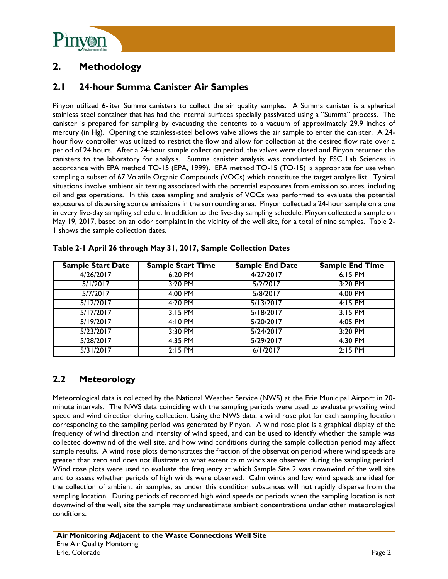

# **2. Methodology**

### **2.1 24-hour Summa Canister Air Samples**

Pinyon utilized 6-liter Summa canisters to collect the air quality samples. A Summa canister is a spherical stainless steel container that has had the internal surfaces specially passivated using a "Summa" process. The canister is prepared for sampling by evacuating the contents to a vacuum of approximately 29.9 inches of mercury (in Hg). Opening the stainless-steel bellows valve allows the air sample to enter the canister. A 24 hour flow controller was utilized to restrict the flow and allow for collection at the desired flow rate over a period of 24 hours. After a 24-hour sample collection period, the valves were closed and Pinyon returned the canisters to the laboratory for analysis. Summa canister analysis was conducted by ESC Lab Sciences in accordance with EPA method TO-15 (EPA, 1999). EPA method TO-15 (TO-15) is appropriate for use when sampling a subset of 67 Volatile Organic Compounds (VOCs) which constitute the target analyte list. Typical situations involve ambient air testing associated with the potential exposures from emission sources, including oil and gas operations. In this case sampling and analysis of VOCs was performed to evaluate the potential exposures of dispersing source emissions in the surrounding area. Pinyon collected a 24-hour sample on a one in every five-day sampling schedule. In addition to the five-day sampling schedule, Pinyon collected a sample on May 19, 2017, based on an odor complaint in the vicinity of the well site, for a total of nine samples. Table 2- 1 shows the sample collection dates.

| <b>Sample Start Date</b> | <b>Sample Start Time</b> | Sample End Date | <b>Sample End Time</b> |
|--------------------------|--------------------------|-----------------|------------------------|
| 4/26/2017                | 6:20 PM                  | 4/27/2017       | 6:15 PM                |
| 5/1/2017                 | 3:20 PM                  | 5/2/2017        | 3:20 PM                |
| 5/7/2017                 | 4:00 PM                  | 5/8/2017        | 4:00 PM                |
| 5/12/2017                | 4:20 PM                  | 5/13/2017       | $4:15$ PM              |
| 5/17/2017                | $3:15$ PM                | 5/18/2017       | $3:15$ PM              |
| 5/19/2017                | 4:10 PM                  | 5/20/2017       | $4:05$ PM              |
| 5/23/2017                | 3:30 PM                  | 5/24/2017       | 3:20 PM                |
| 5/28/2017                | 4:35 PM                  | 5/29/2017       | 4:30 PM                |
| 5/31/2017                | $2:15$ PM                | 6/1/2017        | $2:15$ PM              |

| Table 2-1 April 26 through May 31, 2017, Sample Collection Dates |  |  |  |  |
|------------------------------------------------------------------|--|--|--|--|
|                                                                  |  |  |  |  |

### **2.2 Meteorology**

Meteorological data is collected by the National Weather Service (NWS) at the Erie Municipal Airport in 20 minute intervals. The NWS data coinciding with the sampling periods were used to evaluate prevailing wind speed and wind direction during collection. Using the NWS data, a wind rose plot for each sampling location corresponding to the sampling period was generated by Pinyon. A wind rose plot is a graphical display of the frequency of wind direction and intensity of wind speed, and can be used to identify whether the sample was collected downwind of the well site, and how wind conditions during the sample collection period may affect sample results. A wind rose plots demonstrates the fraction of the observation period where wind speeds are greater than zero and does not illustrate to what extent calm winds are observed during the sampling period. Wind rose plots were used to evaluate the frequency at which Sample Site 2 was downwind of the well site and to assess whether periods of high winds were observed. Calm winds and low wind speeds are ideal for the collection of ambient air samples, as under this condition substances will not rapidly disperse from the sampling location. During periods of recorded high wind speeds or periods when the sampling location is not downwind of the well, site the sample may underestimate ambient concentrations under other meteorological conditions.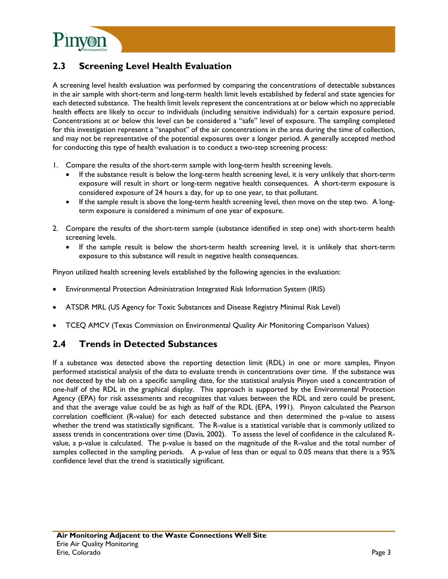

### **2.3 Screening Level Health Evaluation**

A screening level health evaluation was performed by comparing the concentrations of detectable substances in the air sample with short-term and long-term health limit levels established by federal and state agencies for each detected substance. The health limit levels represent the concentrations at or below which no appreciable health effects are likely to occur to individuals (including sensitive individuals) for a certain exposure period. Concentrations at or below this level can be considered a "safe" level of exposure. The sampling completed for this investigation represent a "snapshot" of the air concentrations in the area during the time of collection, and may not be representative of the potential exposures over a longer period. A generally accepted method for conducting this type of health evaluation is to conduct a two-step screening process:

- 1. Compare the results of the short-term sample with long-term health screening levels.
	- If the substance result is below the long-term health screening level, it is very unlikely that short-term exposure will result in short or long-term negative health consequences. A short-term exposure is considered exposure of 24 hours a day, for up to one year, to that pollutant.
	- If the sample result is above the long-term health screening level, then move on the step two. A longterm exposure is considered a minimum of one year of exposure.
- 2. Compare the results of the short-term sample (substance identified in step one) with short-term health screening levels.
	- If the sample result is below the short-term health screening level, it is unlikely that short-term exposure to this substance will result in negative health consequences.

Pinyon utilized health screening levels established by the following agencies in the evaluation:

- Environmental Protection Administration Integrated Risk Information System (IRIS)
- ATSDR MRL (US Agency for Toxic Substances and Disease Registry Minimal Risk Level)
- TCEQ AMCV (Texas Commission on Environmental Quality Air Monitoring Comparison Values)

#### **2.4 Trends in Detected Substances**

If a substance was detected above the reporting detection limit (RDL) in one or more samples, Pinyon performed statistical analysis of the data to evaluate trends in concentrations over time. If the substance was not detected by the lab on a specific sampling date, for the statistical analysis Pinyon used a concentration of one-half of the RDL in the graphical display. This approach is supported by the Environmental Protection Agency (EPA) for risk assessments and recognizes that values between the RDL and zero could be present, and that the average value could be as high as half of the RDL (EPA, 1991). Pinyon calculated the Pearson correlation coefficient (R-value) for each detected substance and then determined the p-value to assess whether the trend was statistically significant. The R-value is a statistical variable that is commonly utilized to assess trends in concentrations over time (Davis, 2002). To assess the level of confidence in the calculated Rvalue, a p-value is calculated. The p-value is based on the magnitude of the R-value and the total number of samples collected in the sampling periods. A p-value of less than or equal to 0.05 means that there is a 95% confidence level that the trend is statistically significant.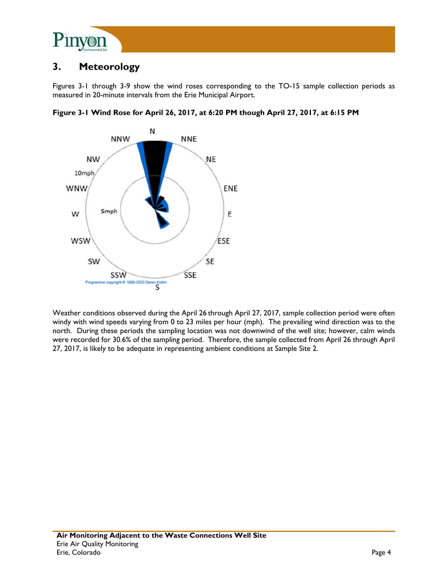

## **3. Meteorology**

Figures 3-1 through 3-9 show the wind roses corresponding to the TO-15 sample collection periods as measured in 20-minute intervals from the Erie Municipal Airport.



**Figure 3-1 Wind Rose for April 26, 2017, at 6:20 PM though April 27, 2017, at 6:15 PM** 

Weather conditions observed during the April 26 through April 27, 2017, sample collection period were often windy with wind speeds varying from 0 to 23 miles per hour (mph). The prevailing wind direction was to the north. During these periods the sampling location was not downwind of the well site; however, calm winds were recorded for 30.6% of the sampling period. Therefore, the sample collected from April 26 through April 27, 2017, is likely to be adequate in representing ambient conditions at Sample Site 2.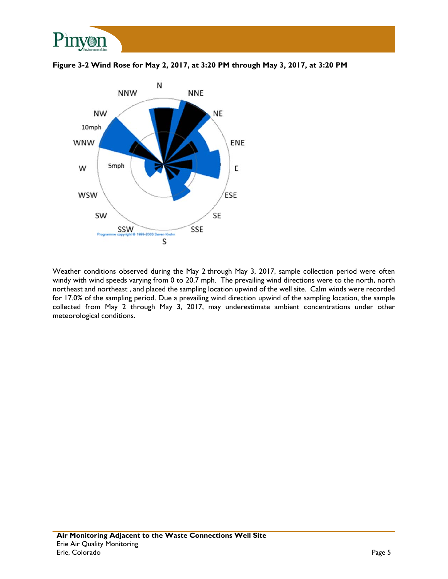





Weather conditions observed during the May 2 through May 3, 2017, sample collection period were often windy with wind speeds varying from 0 to 20.7 mph. The prevailing wind directions were to the north, north northeast and northeast , and placed the sampling location upwind of the well site. Calm winds were recorded for 17.0% of the sampling period. Due a prevailing wind direction upwind of the sampling location, the sample collected from May 2 through May 3, 2017, may underestimate ambient concentrations under other meteorological conditions.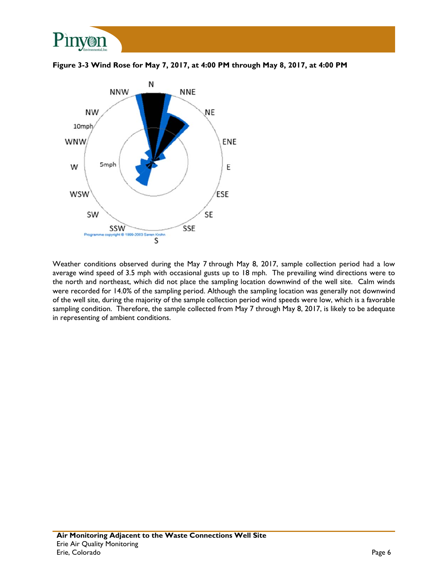

**Figure 3-3 Wind Rose for May 7, 2017, at 4:00 PM through May 8, 2017, at 4:00 PM** 



Weather conditions observed during the May 7 through May 8, 2017, sample collection period had a low average wind speed of 3.5 mph with occasional gusts up to 18 mph. The prevailing wind directions were to the north and northeast, which did not place the sampling location downwind of the well site. Calm winds were recorded for 14.0% of the sampling period. Although the sampling location was generally not downwind of the well site, during the majority of the sample collection period wind speeds were low, which is a favorable sampling condition. Therefore, the sample collected from May 7 through May 8, 2017, is likely to be adequate in representing of ambient conditions.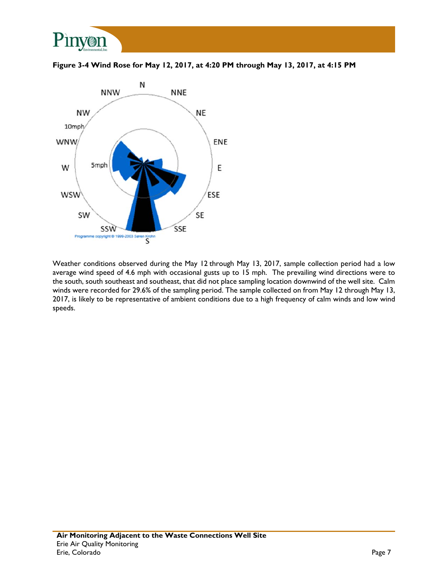

**Figure 3-4 Wind Rose for May 12, 2017, at 4:20 PM through May 13, 2017, at 4:15 PM** 



Weather conditions observed during the May 12 through May 13, 2017, sample collection period had a low average wind speed of 4.6 mph with occasional gusts up to 15 mph. The prevailing wind directions were to the south, south southeast and southeast, that did not place sampling location downwind of the well site. Calm winds were recorded for 29.6% of the sampling period. The sample collected on from May 12 through May 13, 2017, is likely to be representative of ambient conditions due to a high frequency of calm winds and low wind speeds.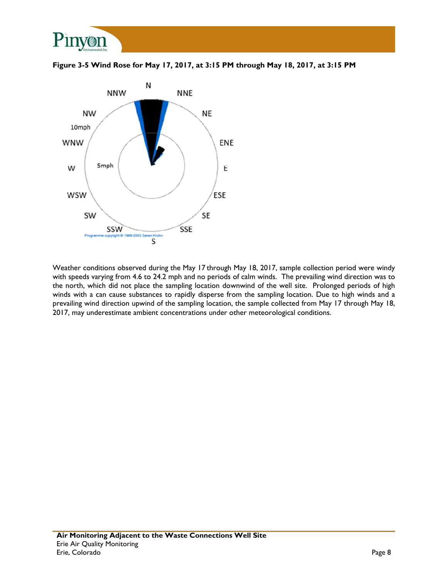

**Figure 3-5 Wind Rose for May 17, 2017, at 3:15 PM through May 18, 2017, at 3:15 PM** 



Weather conditions observed during the May 17 through May 18, 2017, sample collection period were windy with speeds varying from 4.6 to 24.2 mph and no periods of calm winds. The prevailing wind direction was to the north, which did not place the sampling location downwind of the well site. Prolonged periods of high winds with a can cause substances to rapidly disperse from the sampling location. Due to high winds and a prevailing wind direction upwind of the sampling location, the sample collected from May 17 through May 18, 2017, may underestimate ambient concentrations under other meteorological conditions.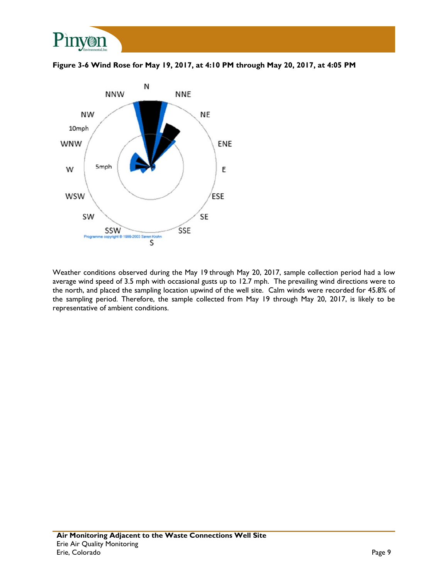

**Figure 3-6 Wind Rose for May 19, 2017, at 4:10 PM through May 20, 2017, at 4:05 PM** 



Weather conditions observed during the May 19 through May 20, 2017, sample collection period had a low average wind speed of 3.5 mph with occasional gusts up to 12.7 mph. The prevailing wind directions were to the north, and placed the sampling location upwind of the well site. Calm winds were recorded for 45.8% of the sampling period. Therefore, the sample collected from May 19 through May 20, 2017, is likely to be representative of ambient conditions.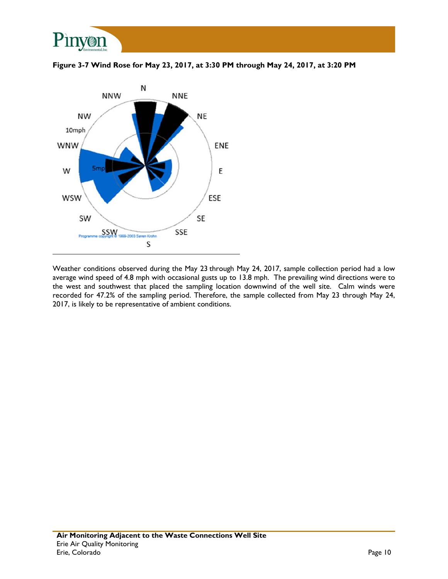





Weather conditions observed during the May 23 through May 24, 2017, sample collection period had a low average wind speed of 4.8 mph with occasional gusts up to 13.8 mph. The prevailing wind directions were to the west and southwest that placed the sampling location downwind of the well site. Calm winds were recorded for 47.2% of the sampling period. Therefore, the sample collected from May 23 through May 24, 2017, is likely to be representative of ambient conditions.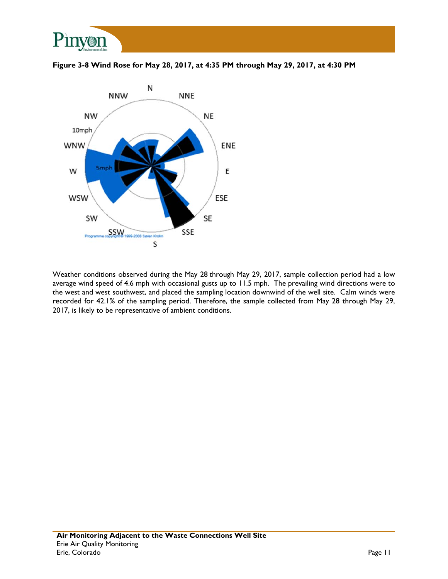





Weather conditions observed during the May 28 through May 29, 2017, sample collection period had a low average wind speed of 4.6 mph with occasional gusts up to 11.5 mph. The prevailing wind directions were to the west and west southwest, and placed the sampling location downwind of the well site. Calm winds were recorded for 42.1% of the sampling period. Therefore, the sample collected from May 28 through May 29, 2017, is likely to be representative of ambient conditions.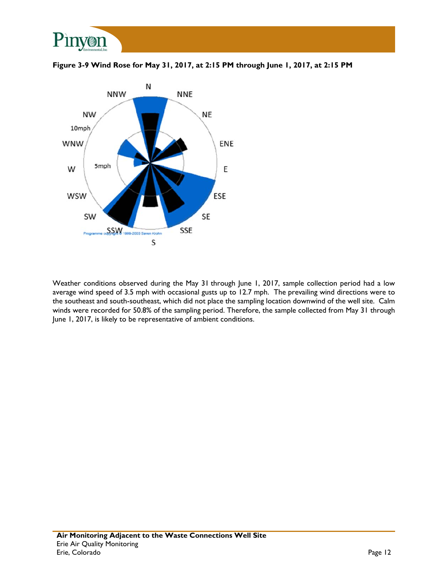





Weather conditions observed during the May 31 through June 1, 2017, sample collection period had a low average wind speed of 3.5 mph with occasional gusts up to 12.7 mph. The prevailing wind directions were to the southeast and south-southeast, which did not place the sampling location downwind of the well site. Calm winds were recorded for 50.8% of the sampling period. Therefore, the sample collected from May 31 through June 1, 2017, is likely to be representative of ambient conditions.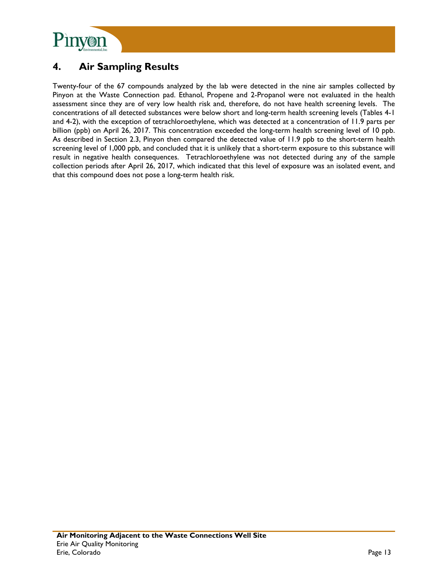

# **4. Air Sampling Results**

Twenty-four of the 67 compounds analyzed by the lab were detected in the nine air samples collected by Pinyon at the Waste Connection pad. Ethanol, Propene and 2-Propanol were not evaluated in the health assessment since they are of very low health risk and, therefore, do not have health screening levels. The concentrations of all detected substances were below short and long-term health screening levels (Tables 4-1 and 4-2), with the exception of tetrachloroethylene, which was detected at a concentration of 11.9 parts per billion (ppb) on April 26, 2017. This concentration exceeded the long-term health screening level of 10 ppb. As described in Section 2.3, Pinyon then compared the detected value of 11.9 ppb to the short-term health screening level of 1,000 ppb, and concluded that it is unlikely that a short-term exposure to this substance will result in negative health consequences. Tetrachloroethylene was not detected during any of the sample collection periods after April 26, 2017, which indicated that this level of exposure was an isolated event, and that this compound does not pose a long-term health risk.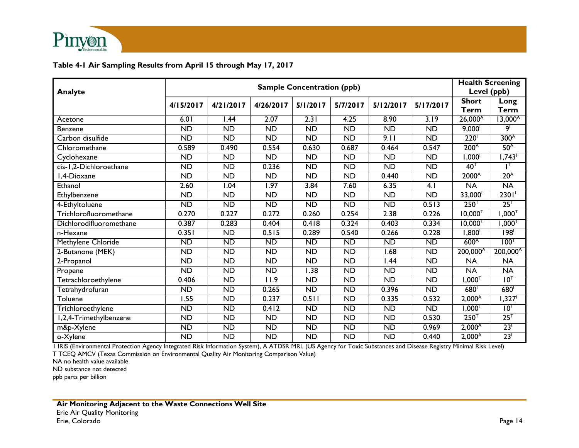

#### **Table 4-1 Air Sampling Results from April 15 through May 17, 2017**

|                         | <b>Sample Concentration (ppb)</b> |                   |                 |                 |                 |                   |                  | <b>Health Screening</b><br>Level (ppb) |                      |
|-------------------------|-----------------------------------|-------------------|-----------------|-----------------|-----------------|-------------------|------------------|----------------------------------------|----------------------|
| Analyte                 |                                   |                   |                 |                 |                 |                   | <b>Short</b>     | Long                                   |                      |
|                         | 4/15/2017                         | 4/21/2017         | 4/26/2017       | 5/1/2017        | 5/7/2017        | 5/12/2017         | 5/17/2017        | Term                                   | <b>Term</b>          |
| Acetone                 | 6.01                              | 1.44              | 2.07            | 2.31            | 4.25            | 8.90              | 3.19             | $26,000^{\text{A}}$                    | $13,000^{\circ}$     |
| Benzene                 | $\overline{ND}$                   | $\overline{ND}$   | <b>ND</b>       | $\overline{ND}$ | $\overline{ND}$ | $\overline{ND}$   | $\overline{ND}$  | 9,000 <sup>1</sup>                     | 9 <sup>1</sup>       |
| Carbon disulfide        | <b>ND</b>                         | <b>ND</b>         | <b>ND</b>       | <b>ND</b>       | <b>ND</b>       | 9.11              | <b>ND</b>        | <b>220</b>                             | 300 <sup>A</sup>     |
| Chloromethane           | 0.589                             | 0.490             | 0.554           | 0.630           | 0.687           | 0.464             | 0.547            | 200 <sup>A</sup>                       | 50 <sup>A</sup>      |
| Cyclohexane             | $\overline{ND}$                   | $\overline{ND}$   | $\overline{ND}$ | $\overline{ND}$ | $\overline{ND}$ | $\overline{ND}$   | $\overline{ND}$  | 1,000 <sup>1</sup>                     | 1,743                |
| cis-1,2-Dichloroethane  | <b>ND</b>                         | <b>ND</b>         | 0.236           | <b>ND</b>       | <b>ND</b>       | <b>ND</b>         | <b>ND</b>        | $40^{\top}$                            |                      |
| l,4-Dioxane             | $\overline{ND}$                   | $\overline{ND}$   | $\overline{ND}$ | $\overline{ND}$ | $\overline{ND}$ | 0.440             | $\overline{ND}$  | 2000 <sup>A</sup>                      | 20 <sup>A</sup>      |
| Ethanol                 | 2.60                              | $\overline{1.04}$ | 1.97            | 3.84            | 7.60            | 6.35              | $\overline{4.1}$ | $\overline{NA}$                        | <b>NA</b>            |
| Ethylbenzene            | <b>ND</b>                         | $\overline{ND}$   | <b>ND</b>       | <b>ND</b>       | $\overline{ND}$ | $\overline{ND}$   | $\overline{ND}$  | 33,000 <sup>1</sup>                    | 2301                 |
| 4-Ethyltoluene          | $\overline{ND}$                   | ND                | $\overline{ND}$ | $\overline{ND}$ | ND              | ND                | 0.513            | 250 <sup>T</sup>                       | 25 <sup>T</sup>      |
| Trichlorofluoromethane  | 0.270                             | 0.227             | 0.272           | 0.260           | 0.254           | 2.38              | 0.226            | $10,000$ <sup>T</sup>                  | $1,000^{T}$          |
| Dichlorodifluoromethane | 0.387                             | 0.283             | 0.404           | 0.418           | 0.324           | 0.403             | 0.334            | $10,000^\top$                          | $1{,}000^\intercal$  |
| n-Hexane                | 0.351                             | ND                | 0.515           | 0.289           | 0.540           | 0.266             | 0.228            | 1,800 <sup>1</sup>                     | 198                  |
| Methylene Chloride      | $\overline{ND}$                   | <b>ND</b>         | <b>ND</b>       | $\overline{ND}$ | $\overline{ND}$ | $\overline{ND}$   | $\overline{ND}$  | 600 <sup>A</sup>                       | 100 <sup>T</sup>     |
| 2-Butanone (MEK)        | <b>ND</b>                         | $\overline{ND}$   | <b>ND</b>       | <b>ND</b>       | <b>ND</b>       | $\overline{.68}$  | $\overline{ND}$  | $200,000^{\circ}$                      | 200,000 <sup>A</sup> |
| 2-Propanol              | <b>ND</b>                         | <b>ND</b>         | <b>ND</b>       | <b>ND</b>       | <b>ND</b>       | $\overline{1.44}$ | <b>ND</b>        | <b>NA</b>                              | <b>NA</b>            |
| Propene                 | $\overline{ND}$                   | <b>ND</b>         | <b>ND</b>       | 1.38            | <b>ND</b>       | <b>ND</b>         | <b>ND</b>        | <b>NA</b>                              | <b>NA</b>            |
| Tetrachloroethylene     | 0.406                             | <b>ND</b>         | 11.9            | <b>ND</b>       | <b>ND</b>       | <b>ND</b>         | <b>ND</b>        | ⊺000, ا                                | 10 <sup>T</sup>      |
| Tetrahydrofuran         | $\overline{ND}$                   | $\overline{ND}$   | 0.265           | $\overline{ND}$ | $\overline{ND}$ | 0.396             | $\overline{ND}$  | 680                                    | 680 <sup>1</sup>     |
| Toluene                 | 1.55                              | <b>ND</b>         | 0.237           | 0.511           | <b>ND</b>       | 0.335             | 0.532            | $2,000^{\text{A}}$                     | 1,327 <sup>1</sup>   |
| Trichloroethylene       | $\overline{ND}$                   | <b>ND</b>         | 0.412           | <b>ND</b>       | <b>ND</b>       | $\overline{ND}$   | $\overline{ND}$  | $1,000^{T}$                            | $10^{T}$             |
| 1,2,4-Trimethylbenzene  | $\overline{ND}$                   | $\overline{ND}$   | <b>ND</b>       | <b>ND</b>       | $\overline{ND}$ | $\overline{ND}$   | 0.530            | 250 <sup>T</sup>                       | 25 <sup>T</sup>      |
| m&p-Xylene              | <b>ND</b>                         | <b>ND</b>         | <b>ND</b>       | <b>ND</b>       | <b>ND</b>       | <b>ND</b>         | 0.969            | $2,000^{\circ}$                        | 23 <sup>1</sup>      |
| o-Xylene                | $\overline{ND}$                   | $\overline{ND}$   | <b>ND</b>       | <b>ND</b>       | $\overline{ND}$ | $\overline{ND}$   | 0.440            | 2,000 <sup>A</sup>                     | 23 <sup>1</sup>      |

1 IRIS (Environmental Protection Agency Integrated Risk Information System), A ATDSR MRL (US Agency for Toxic Substances and Disease Registry Minimal Risk Level) T TCEQ AMCV (Texas Commission on Environmental Quality Air Monitoring Comparison Value)

NA no health value available

ND substance not detected

ppb parts per billion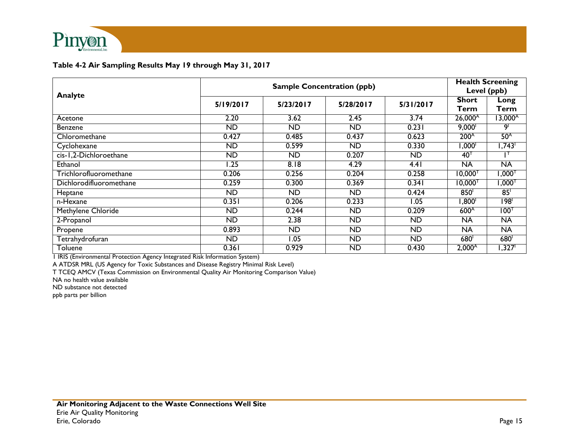

#### **Table 4-2 Air Sampling Results May 19 through May 31, 2017**

| Analyte                 |           | <b>Health Screening</b><br>Level (ppb) |                 |           |                       |                     |
|-------------------------|-----------|----------------------------------------|-----------------|-----------|-----------------------|---------------------|
|                         | 5/19/2017 | 5/23/2017                              | 5/28/2017       | 5/31/2017 | <b>Short</b><br>Term  | Long<br>Term        |
| Acetone                 | 2.20      | 3.62                                   | 2.45            | 3.74      | $26,000^{\circ}$      | $13,000^{\circ}$    |
| <b>Benzene</b>          | <b>ND</b> | <b>ND</b>                              | $\overline{ND}$ | 0.231     | 9,000                 | او                  |
| Chloromethane           | 0.427     | 0.485                                  | 0.437           | 0.623     | 200 <sup>A</sup>      | 50 <sup>A</sup>     |
| Cyclohexane             | <b>ND</b> | 0.599                                  | <b>ND</b>       | 0.330     | '000, ا               | 1,743               |
| cis-1,2-Dichloroethane  | <b>ND</b> | <b>ND</b>                              | 0.207           | <b>ND</b> | $40^{\text{T}}$       | Ρ                   |
| Ethanol                 | .25       | 8.18                                   | 4.29            | 4.41      | <b>NA</b>             | <b>NA</b>           |
| Trichlorofluoromethane  | 0.206     | 0.256                                  | 0.204           | 0.258     | $10,000$ <sup>1</sup> | $1,000^\intercal$   |
| Dichlorodifluoromethane | 0.259     | 0.300                                  | 0.369           | 0.341     | $10,000$ <sup>1</sup> | <sup>ד</sup> 000, ו |
| Heptane                 | <b>ND</b> | ND.                                    | <b>ND</b>       | 0.424     | 850                   | 85                  |
| n-Hexane                | 0.351     | 0.206                                  | 0.233           | I.O5      | ,800 <sup>1</sup>     | $\overline{198}$    |
| Methylene Chloride      | <b>ND</b> | 0.244                                  | ND              | 0.209     | 600 <sup>A</sup>      | $100^{\intercal}$   |
| 2-Propanol              | <b>ND</b> | 2.38                                   | <b>ND</b>       | <b>ND</b> | <b>NA</b>             | <b>NA</b>           |
| Propene                 | 0.893     | <b>ND</b>                              | <b>ND</b>       | <b>ND</b> | NA                    | <b>NA</b>           |
| Tetrahydrofuran         | <b>ND</b> | 1.05                                   | <b>ND</b>       | <b>ND</b> | 680                   | 680                 |
| Toluene                 | 0.361     | 0.929                                  | <b>ND</b>       | 0.430     | $2,000^{\circ}$       | 1,327 <sup>1</sup>  |

1 IRIS (Environmental Protection Agency Integrated Risk Information System)

A ATDSR MRL (US Agency for Toxic Substances and Disease Registry Minimal Risk Level)

T TCEQ AMCV (Texas Commission on Environmental Quality Air Monitoring Comparison Value)

NA no health value available

ND substance not detected

ppb parts per billion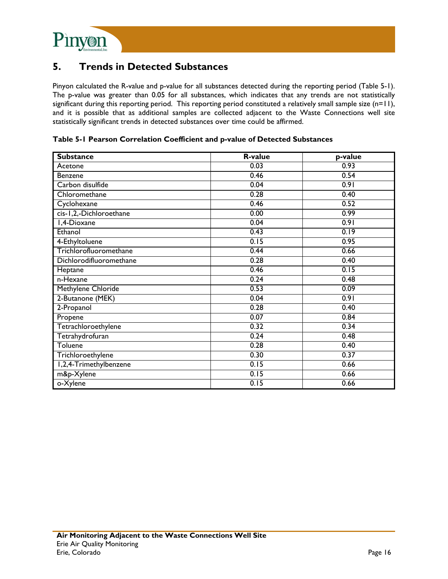

### **5. Trends in Detected Substances**

Pinyon calculated the R-value and p-value for all substances detected during the reporting period (Table 5-1). The p-value was greater than 0.05 for all substances, which indicates that any trends are not statistically significant during this reporting period. This reporting period constituted a relatively small sample size  $(n=1)$ , and it is possible that as additional samples are collected adjacent to the Waste Connections well site statistically significant trends in detected substances over time could be affirmed.

**Substance R-value p-value**  Acetone 0.03 0.93 Benzene 0.46 0.54 Carbon disulfide 0.04 0.91 Chloromethane 0.28 0.40 Cyclohexane 0.52 cis-1,2,-Dichloroethane 0.00 0.99 1,4-Dioxane 0.04 0.91 Ethanol 0.43 0.19 4-Ethyltoluene 0.15 0.95 Trichlorofluoromethane 0.44 0.66 Dichlorodifluoromethane 0.28 0.40 Heptane 0.46 0.15 n-Hexane 0.24 0.48 Methylene Chloride 0.53 0.09 2-Butanone (MEK) 0.04 0.91 2-Propanol 0.28 0.40 Propene 0.07 0.84 Tetrachloroethylene 0.32 0.34 Tetrahydrofuran 0.24 0.48  $\blacksquare$  Toluene 0.40  $\blacksquare$ Trichloroethylene 0.37 0.37 1,2,4-Trimethylbenzene 0.15 0.66 m&p-Xylene 0.15 0.66 o-Xylene 0.15 0.66

**Table 5-1 Pearson Correlation Coefficient and p-value of Detected Substances**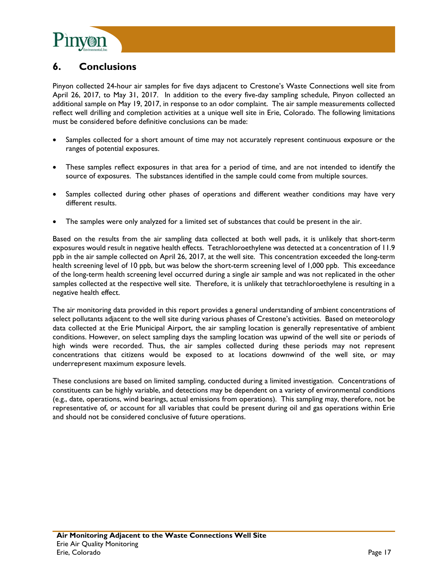

# **6. Conclusions**

Pinyon collected 24-hour air samples for five days adjacent to Crestone's Waste Connections well site from April 26, 2017, to May 31, 2017. In addition to the every five-day sampling schedule, Pinyon collected an additional sample on May 19, 2017, in response to an odor complaint. The air sample measurements collected reflect well drilling and completion activities at a unique well site in Erie, Colorado. The following limitations must be considered before definitive conclusions can be made:

- Samples collected for a short amount of time may not accurately represent continuous exposure or the ranges of potential exposures.
- These samples reflect exposures in that area for a period of time, and are not intended to identify the source of exposures. The substances identified in the sample could come from multiple sources.
- Samples collected during other phases of operations and different weather conditions may have very different results.
- The samples were only analyzed for a limited set of substances that could be present in the air.

Based on the results from the air sampling data collected at both well pads, it is unlikely that short-term exposures would result in negative health effects. Tetrachloroethylene was detected at a concentration of 11.9 ppb in the air sample collected on April 26, 2017, at the well site. This concentration exceeded the long-term health screening level of 10 ppb, but was below the short-term screening level of 1,000 ppb. This exceedance of the long-term health screening level occurred during a single air sample and was not replicated in the other samples collected at the respective well site. Therefore, it is unlikely that tetrachloroethylene is resulting in a negative health effect.

The air monitoring data provided in this report provides a general understanding of ambient concentrations of select pollutants adjacent to the well site during various phases of Crestone's activities. Based on meteorology data collected at the Erie Municipal Airport, the air sampling location is generally representative of ambient conditions. However, on select sampling days the sampling location was upwind of the well site or periods of high winds were recorded. Thus, the air samples collected during these periods may not represent concentrations that citizens would be exposed to at locations downwind of the well site, or may underrepresent maximum exposure levels.

These conclusions are based on limited sampling, conducted during a limited investigation. Concentrations of constituents can be highly variable, and detections may be dependent on a variety of environmental conditions (e.g., date, operations, wind bearings, actual emissions from operations). This sampling may, therefore, not be representative of, or account for all variables that could be present during oil and gas operations within Erie and should not be considered conclusive of future operations.